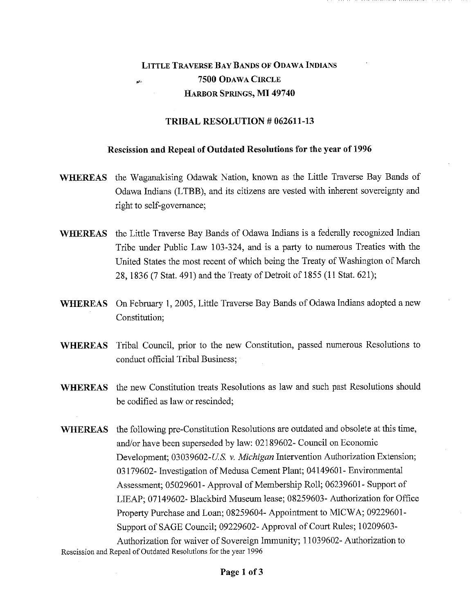## LITTLE TRAVERSE BAY BANDS OF ODAWA INDIANS 7500 ODAWA CIRCLE HARBOR SPRINGS, MI 49740

## TRIBAL RESOLUTION # 062611-13

## Rescission and Repeal of Outdated Resolutions for the year of 1996

- WHEREAS the Waganakising Odawak Nation, known as the Little Traverse Bay Bands of Odawa Indians (LTBB), and its citizens are vested with inherent sovereignty and right to self-governance;
- WHEREAS the Little Traverse Bay Bands of Odawa Indians is a federally recognized Indian Tribe under Public Law 103-324, and is a party to numerous Treaties with the United States the most recent of which being the Treaty of Washington of March 28, 1836 (7 Stat. 491) and the Treaty of Detroit of 1855 (11 Stat. 621);
- WHEREAS On February 1, 2005, Little Traverse Bay Bands of Odawa Indians adopted a new Constitution;
- WHEREAS Tribal Council, prior to the new Constitution, passed numerous Resolutions to conduct official Tribal Business;
- WHEREAS the new Constitution treats Resolutions as law and such past Resolutions should be codified as law or rescinded;
- WHEREAS the following pre-Constitution Resolutions are outdated and obsolete at this time, and/or have been superseded by law: 02189602- Council on Economic Development; 03039602-U.S. *v. Michigan* Intervention Authorization Extension; 03179602- Investigation of Medusa Cement Plant; 04149601- Environmental Assessment; 05029601- Approval of Membership Roll; 06239601- Support of LIEAP; 07149602- Blackbird Museum lease; 08259603- Authorization for Office Property Purchase and Loan; 08259604- Appointment to MICWA; 09229601- Support of SAGE Council; 09229602- Approval of Court Rules; 10209603- Authorization for waiver of Sovereign Immunity; 11039602- Authorization to

Rescission and Repeal of Outdated Resolutions for the year 1996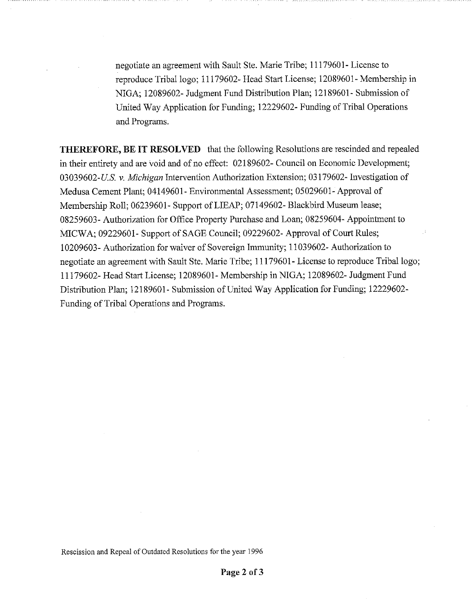negotiate an agreement with Sault Ste. Marie Tribe; 11179601- License to reproduce Tribal logo; 11179602- Head Start License; 12089601- Membership in NIGA; 12089602- Judgment Fund Distribution Plan; 12189601- Submission of United Way Application for Funding; 12229602- Funding of Tribal Operations and Programs

**THEREFORE, BE IT RESOLVED** that the following Resolutions are rescinded and repealed in their entirety and are void and of no effect: 02189602- Council on Economic Development; 03039602-U.S. *v. Michigan* Intervention Authorization Extension; 03179602- Investigation of Medusa Cement Plant; 04149601- Environmental Assessment; 05029601- Approval of Membership Roll; 06239601- Support of LIEAP; 07149602- Blackbird Museum lease; 08259603- Authorization for Office Property Purchase and Loan; 08259604- Appointment to MICWA; 09229601- Support of SAGE Council; 09229602- Approval of Court Rules; 10209603- Authorization for waiver of Sovereign Immunity; 11039602- Authorization to negotiate an agreement with Sault Ste. Marie Tribe; 11179601- License to reproduce Tribal logo; 11179602- Head Start License; 12089601- Membership in NIGA; 12089602- Judgment Fund Distribution Plan; 12189601- Submission of United Way Application for Funding; 12229602- Funding of Tribal Operations and Programs.